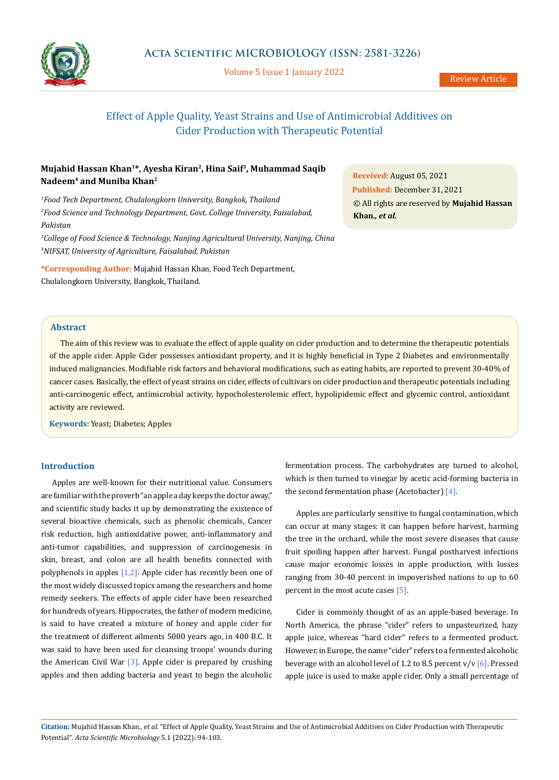

Volume 5 Issue 1 January 2022

# Effect of Apple Quality, Yeast Strains and Use of Antimicrobial Additives on Cider Production with Therapeutic Potential

## **Mujahid Hassan Khan1\*, Ayesha Kiran2, Hina Saif3, Muhammad Saqib Nadeem4 and Muniba Khan2**

*1 Food Tech Department, Chulalongkorn University, Bangkok, Thailand 2 Food Science and Technology Department, Govt. College University, Faisalabad, Pakistan*

*3 College of Food Science & Technology, Nanjing Agricultural University, Nanjing, China 4 NIFSAT, University of Agriculture, Faisalabad, Pakistan*

**\*Corresponding Author:** Mujahid Hassan Khan, Food Tech Department, Chulalongkorn University, Bangkok, Thailand.

**Received:** August 05, 2021 **Published:** December 31, 2021 © All rights are reserved by **Mujahid Hassan Khan***., et al.*

## **Abstract**

The aim of this review was to evaluate the effect of apple quality on cider production and to determine the therapeutic potentials of the apple cider. Apple Cider possesses antioxidant property, and it is highly beneficial in Type 2 Diabetes and environmentally induced malignancies. Modifiable risk factors and behavioral modifications, such as eating habits, are reported to prevent 30-40% of cancer cases. Basically, the effect of yeast strains on cider, effects of cultivars on cider production and therapeutic potentials including anti-carcinogenic effect, antimicrobial activity, hypocholesterolemic effect, hypolipidemic effect and glycemic control, antioxidant activity are reviewed.

**Keywords:** Yeast; Diabetes; Apples

## **Introduction**

Apples are well-known for their nutritional value. Consumers are familiar with the proverb "an apple a day keeps the doctor away," and scientific study backs it up by demonstrating the existence of several bioactive chemicals, such as phenolic chemicals, Cancer risk reduction, high antioxidative power, anti-inflammatory and anti-tumor capabilities, and suppression of carcinogenesis in skin, breast, and colon are all health benefits connected with polyphenols in apples  $[1,2]$ . Apple cider has recently been one of the most widely discussed topics among the researchers and home remedy seekers. The effects of apple cider have been researched for hundreds of years. Hippocrates, the father of modern medicine, is said to have created a mixture of honey and apple cider for the treatment of different ailments 5000 years ago, in 400 B.C. It was said to have been used for cleansing troops' wounds during the American Civil War  $[3]$ . Apple cider is prepared by crushing apples and then adding bacteria and yeast to begin the alcoholic fermentation process. The carbohydrates are turned to alcohol, which is then turned to vinegar by acetic acid-forming bacteria in the second fermentation phase (Acetobacter) [4].

Apples are particularly sensitive to fungal contamination, which can occur at many stages: it can happen before harvest, harming the tree in the orchard, while the most severe diseases that cause fruit spoiling happen after harvest. Fungal postharvest infections cause major economic losses in apple production, with losses ranging from 30-40 percent in impoverished nations to up to 60 percent in the most acute cases [5].

Cider is commonly thought of as an apple-based beverage. In North America, the phrase "cider" refers to unpasteurized, hazy apple juice, whereas "hard cider" refers to a fermented product. However, in Europe, the name "cider" refers to a fermented alcoholic beverage with an alcohol level of 1.2 to 8.5 percent  $v/v$  [6]. Pressed apple juice is used to make apple cider. Only a small percentage of

**Citation:** Mujahid Hassan Khan*., et al.* "Effect of Apple Quality, Yeast Strains and Use of Antimicrobial Additives on Cider Production with Therapeutic Potential". *Acta Scientific Microbiology* 5.1 (2022): 94-103.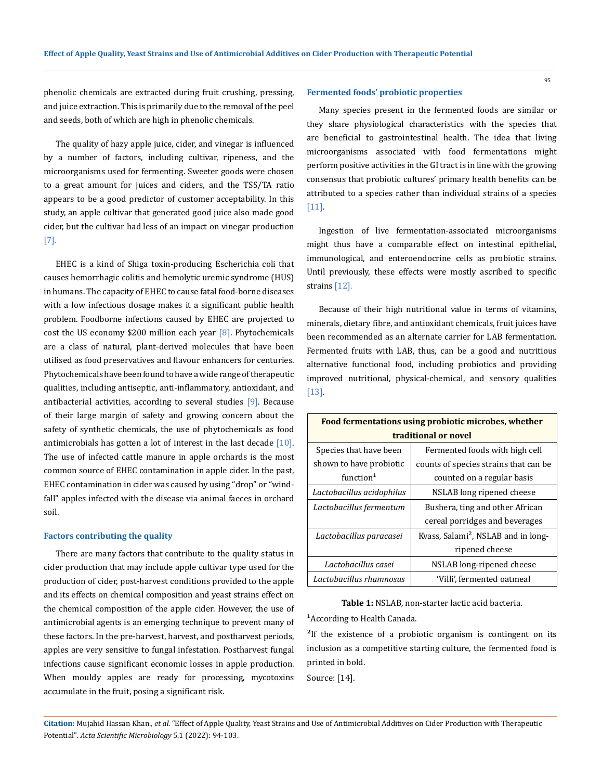phenolic chemicals are extracted during fruit crushing, pressing, and juice extraction. This is primarily due to the removal of the peel and seeds, both of which are high in phenolic chemicals.

The quality of hazy apple juice, cider, and vinegar is influenced by a number of factors, including cultivar, ripeness, and the microorganisms used for fermenting. Sweeter goods were chosen to a great amount for juices and ciders, and the TSS/TA ratio appears to be a good predictor of customer acceptability. In this study, an apple cultivar that generated good juice also made good cider, but the cultivar had less of an impact on vinegar production [7].

EHEC is a kind of Shiga toxin-producing Escherichia coli that causes hemorrhagic colitis and hemolytic uremic syndrome (HUS) in humans. The capacity of EHEC to cause fatal food-borne diseases with a low infectious dosage makes it a significant public health problem. Foodborne infections caused by EHEC are projected to cost the US economy \$200 million each year  $[8]$ . Phytochemicals are a class of natural, plant-derived molecules that have been utilised as food preservatives and flavour enhancers for centuries. Phytochemicals have been found to have a wide range of therapeutic qualities, including antiseptic, anti-inflammatory, antioxidant, and antibacterial activities, according to several studies [9]. Because of their large margin of safety and growing concern about the safety of synthetic chemicals, the use of phytochemicals as food antimicrobials has gotten a lot of interest in the last decade [10]. The use of infected cattle manure in apple orchards is the most common source of EHEC contamination in apple cider. In the past, EHEC contamination in cider was caused by using "drop" or "windfall" apples infected with the disease via animal faeces in orchard soil.

#### **Factors contributing the quality**

There are many factors that contribute to the quality status in cider production that may include apple cultivar type used for the production of cider, post-harvest conditions provided to the apple and its effects on chemical composition and yeast strains effect on the chemical composition of the apple cider. However, the use of antimicrobial agents is an emerging technique to prevent many of these factors. In the pre-harvest, harvest, and postharvest periods, apples are very sensitive to fungal infestation. Postharvest fungal infections cause significant economic losses in apple production. When mouldy apples are ready for processing, mycotoxins accumulate in the fruit, posing a significant risk.

## **Fermented foods' probiotic properties**

Many species present in the fermented foods are similar or they share physiological characteristics with the species that are beneficial to gastrointestinal health. The idea that living microorganisms associated with food fermentations might perform positive activities in the GI tract is in line with the growing consensus that probiotic cultures' primary health benefits can be attributed to a species rather than individual strains of a species [11].

Ingestion of live fermentation-associated microorganisms might thus have a comparable effect on intestinal epithelial, immunological, and enteroendocrine cells as probiotic strains. Until previously, these effects were mostly ascribed to specific strains [12].

Because of their high nutritional value in terms of vitamins, minerals, dietary fibre, and antioxidant chemicals, fruit juices have been recommended as an alternate carrier for LAB fermentation. Fermented fruits with LAB, thus, can be a good and nutritious alternative functional food, including probiotics and providing improved nutritional, physical-chemical, and sensory qualities [13].

| Food fermentations using probiotic microbes, whether |                                                 |  |
|------------------------------------------------------|-------------------------------------------------|--|
| traditional or novel                                 |                                                 |  |
| Species that have been                               | Fermented foods with high cell                  |  |
| shown to have probiotic                              | counts of species strains that can be.          |  |
| function <sup>1</sup>                                | counted on a regular basis                      |  |
| Lactobacillus acidophilus                            | NSLAB long ripened cheese                       |  |
| Lactobacillus fermentum                              | Bushera, ting and other African                 |  |
|                                                      | cereal porridges and beverages                  |  |
| Lactobacillus paracasei                              | Kvass, Salami <sup>2</sup> , NSLAB and in long- |  |
|                                                      | ripened cheese                                  |  |
| Lactobacillus casei                                  | NSLAB long-ripened cheese                       |  |
| Lactobacillus rhamnosus                              | 'Villi', fermented oatmeal                      |  |

**Table 1:** NSLAB, non-starter lactic acid bacteria.

<sup>1</sup> According to Health Canada.

<sup>2</sup>If the existence of a probiotic organism is contingent on its inclusion as a competitive starting culture, the fermented food is printed in bold.

Source: [14].

**Citation:** Mujahid Hassan Khan*., et al.* "Effect of Apple Quality, Yeast Strains and Use of Antimicrobial Additives on Cider Production with Therapeutic Potential". *Acta Scientific Microbiology* 5.1 (2022): 94-103.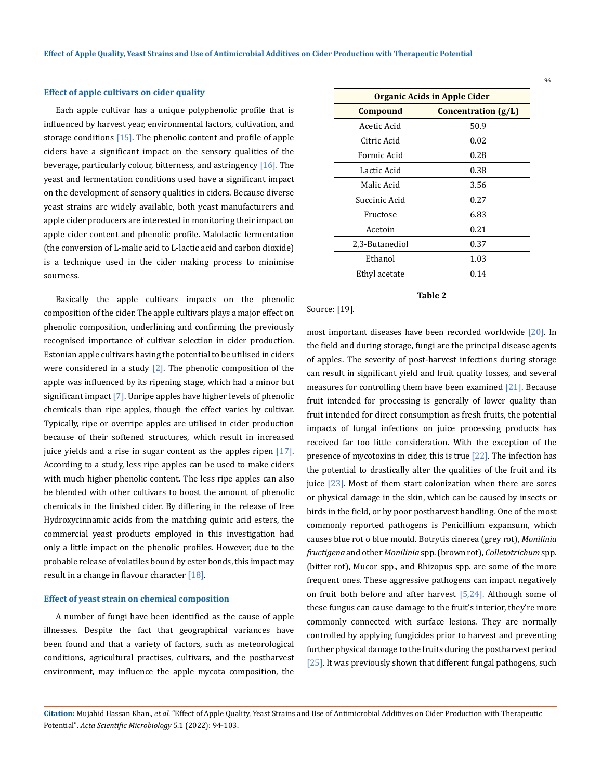#### **Effect of apple cultivars on cider quality**

Each apple cultivar has a unique polyphenolic profile that is influenced by harvest year, environmental factors, cultivation, and storage conditions  $[15]$ . The phenolic content and profile of apple ciders have a significant impact on the sensory qualities of the beverage, particularly colour, bitterness, and astringency  $[16]$ . The yeast and fermentation conditions used have a significant impact on the development of sensory qualities in ciders. Because diverse yeast strains are widely available, both yeast manufacturers and apple cider producers are interested in monitoring their impact on apple cider content and phenolic profile. Malolactic fermentation (the conversion of L-malic acid to L-lactic acid and carbon dioxide) is a technique used in the cider making process to minimise sourness.

Basically the apple cultivars impacts on the phenolic composition of the cider. The apple cultivars plays a major effect on phenolic composition, underlining and confirming the previously recognised importance of cultivar selection in cider production. Estonian apple cultivars having the potential to be utilised in ciders were considered in a study  $[2]$ . The phenolic composition of the apple was influenced by its ripening stage, which had a minor but significant impact  $[7]$ . Unripe apples have higher levels of phenolic chemicals than ripe apples, though the effect varies by cultivar. Typically, ripe or overripe apples are utilised in cider production because of their softened structures, which result in increased juice yields and a rise in sugar content as the apples ripen  $[17]$ . According to a study, less ripe apples can be used to make ciders with much higher phenolic content. The less ripe apples can also be blended with other cultivars to boost the amount of phenolic chemicals in the finished cider. By differing in the release of free Hydroxycinnamic acids from the matching quinic acid esters, the commercial yeast products employed in this investigation had only a little impact on the phenolic profiles. However, due to the probable release of volatiles bound by ester bonds, this impact may result in a change in flavour character [18].

#### **Effect of yeast strain on chemical composition**

A number of fungi have been identified as the cause of apple illnesses. Despite the fact that geographical variances have been found and that a variety of factors, such as meteorological conditions, agricultural practises, cultivars, and the postharvest environment, may influence the apple mycota composition, the

| <b>Organic Acids in Apple Cider</b> |                       |
|-------------------------------------|-----------------------|
| Compound                            | Concentration $(g/L)$ |
| Acetic Acid                         | 50.9                  |
| Citric Acid                         | 0.02                  |
| Formic Acid                         | 0.28                  |
| Lactic Acid                         | 0.38                  |
| Malic Acid                          | 3.56                  |
| Succinic Acid                       | 0.27                  |
| Fructose                            | 6.83                  |
| Acetoin                             | 0.21                  |
| 2,3-Butanediol                      | 0.37                  |
| Ethanol                             | 1.03                  |
| Ethyl acetate                       | 0.14                  |

## **Table 2**

Source: [19].

most important diseases have been recorded worldwide [20]. In the field and during storage, fungi are the principal disease agents of apples. The severity of post-harvest infections during storage can result in significant yield and fruit quality losses, and several measures for controlling them have been examined [21]. Because fruit intended for processing is generally of lower quality than fruit intended for direct consumption as fresh fruits, the potential impacts of fungal infections on juice processing products has received far too little consideration. With the exception of the presence of mycotoxins in cider, this is true [22]. The infection has the potential to drastically alter the qualities of the fruit and its juice [23]. Most of them start colonization when there are sores or physical damage in the skin, which can be caused by insects or birds in the field, or by poor postharvest handling. One of the most commonly reported pathogens is Penicillium expansum, which causes blue rot o blue mould. Botrytis cinerea (grey rot), *Monilinia fructigena* and other *Monilinia* spp. (brown rot), *Colletotrichum* spp. (bitter rot), Mucor spp., and Rhizopus spp. are some of the more frequent ones. These aggressive pathogens can impact negatively on fruit both before and after harvest [5,24]. Although some of these fungus can cause damage to the fruit's interior, they're more commonly connected with surface lesions. They are normally controlled by applying fungicides prior to harvest and preventing further physical damage to the fruits during the postharvest period [25]. It was previously shown that different fungal pathogens, such

## **Citation:** Mujahid Hassan Khan*., et al.* "Effect of Apple Quality, Yeast Strains and Use of Antimicrobial Additives on Cider Production with Therapeutic Potential". *Acta Scientific Microbiology* 5.1 (2022): 94-103.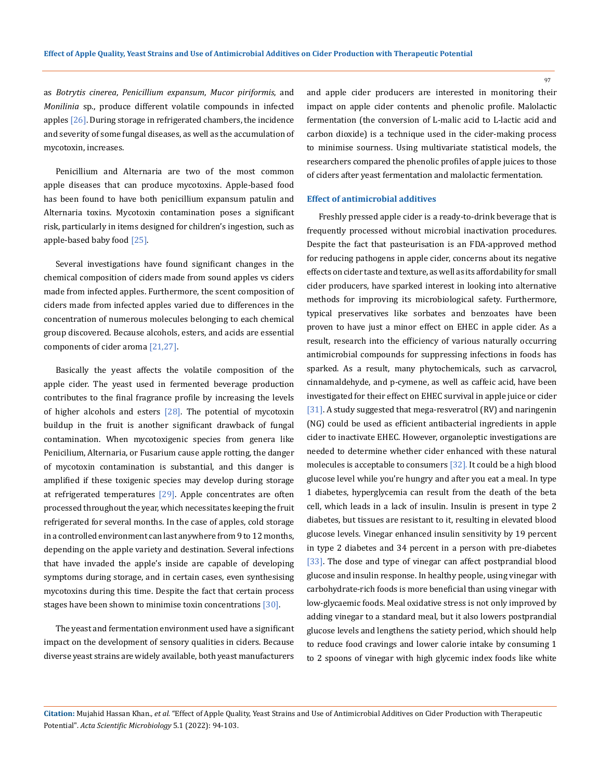as *Botrytis cinerea*, *Penicillium expansum*, *Mucor piriformis*, and *Monilinia* sp., produce different volatile compounds in infected apples  $[26]$ . During storage in refrigerated chambers, the incidence and severity of some fungal diseases, as well as the accumulation of mycotoxin, increases.

Penicillium and Alternaria are two of the most common apple diseases that can produce mycotoxins. Apple-based food has been found to have both penicillium expansum patulin and Alternaria toxins. Mycotoxin contamination poses a significant risk, particularly in items designed for children's ingestion, such as apple-based baby food [25].

Several investigations have found significant changes in the chemical composition of ciders made from sound apples vs ciders made from infected apples. Furthermore, the scent composition of ciders made from infected apples varied due to differences in the concentration of numerous molecules belonging to each chemical group discovered. Because alcohols, esters, and acids are essential components of cider aroma [21,27].

Basically the yeast affects the volatile composition of the apple cider. The yeast used in fermented beverage production contributes to the final fragrance profile by increasing the levels of higher alcohols and esters  $[28]$ . The potential of mycotoxin buildup in the fruit is another significant drawback of fungal contamination. When mycotoxigenic species from genera like Penicilium, Alternaria, or Fusarium cause apple rotting, the danger of mycotoxin contamination is substantial, and this danger is amplified if these toxigenic species may develop during storage at refrigerated temperatures  $[29]$ . Apple concentrates are often processed throughout the year, which necessitates keeping the fruit refrigerated for several months. In the case of apples, cold storage in a controlled environment can last anywhere from 9 to 12 months, depending on the apple variety and destination. Several infections that have invaded the apple's inside are capable of developing symptoms during storage, and in certain cases, even synthesising mycotoxins during this time. Despite the fact that certain process stages have been shown to minimise toxin concentrations  $[30]$ .

The yeast and fermentation environment used have a significant impact on the development of sensory qualities in ciders. Because diverse yeast strains are widely available, both yeast manufacturers

and apple cider producers are interested in monitoring their impact on apple cider contents and phenolic profile. Malolactic fermentation (the conversion of L-malic acid to L-lactic acid and carbon dioxide) is a technique used in the cider-making process to minimise sourness. Using multivariate statistical models, the researchers compared the phenolic profiles of apple juices to those of ciders after yeast fermentation and malolactic fermentation.

## **Effect of antimicrobial additives**

Freshly pressed apple cider is a ready-to-drink beverage that is frequently processed without microbial inactivation procedures. Despite the fact that pasteurisation is an FDA-approved method for reducing pathogens in apple cider, concerns about its negative effects on cider taste and texture, as well as its affordability for small cider producers, have sparked interest in looking into alternative methods for improving its microbiological safety. Furthermore, typical preservatives like sorbates and benzoates have been proven to have just a minor effect on EHEC in apple cider. As a result, research into the efficiency of various naturally occurring antimicrobial compounds for suppressing infections in foods has sparked. As a result, many phytochemicals, such as carvacrol, cinnamaldehyde, and p-cymene, as well as caffeic acid, have been investigated for their effect on EHEC survival in apple juice or cider [31]. A study suggested that mega-resveratrol (RV) and naringenin (NG) could be used as efficient antibacterial ingredients in apple cider to inactivate EHEC. However, organoleptic investigations are needed to determine whether cider enhanced with these natural molecules is acceptable to consumers [32]. It could be a high blood glucose level while you're hungry and after you eat a meal. In type 1 diabetes, hyperglycemia can result from the death of the beta cell, which leads in a lack of insulin. Insulin is present in type 2 diabetes, but tissues are resistant to it, resulting in elevated blood glucose levels. Vinegar enhanced insulin sensitivity by 19 percent in type 2 diabetes and 34 percent in a person with pre-diabetes [33]. The dose and type of vinegar can affect postprandial blood glucose and insulin response. In healthy people, using vinegar with carbohydrate-rich foods is more beneficial than using vinegar with low-glycaemic foods. Meal oxidative stress is not only improved by adding vinegar to a standard meal, but it also lowers postprandial glucose levels and lengthens the satiety period, which should help to reduce food cravings and lower calorie intake by consuming 1 to 2 spoons of vinegar with high glycemic index foods like white

**Citation:** Mujahid Hassan Khan*., et al.* "Effect of Apple Quality, Yeast Strains and Use of Antimicrobial Additives on Cider Production with Therapeutic Potential". *Acta Scientific Microbiology* 5.1 (2022): 94-103.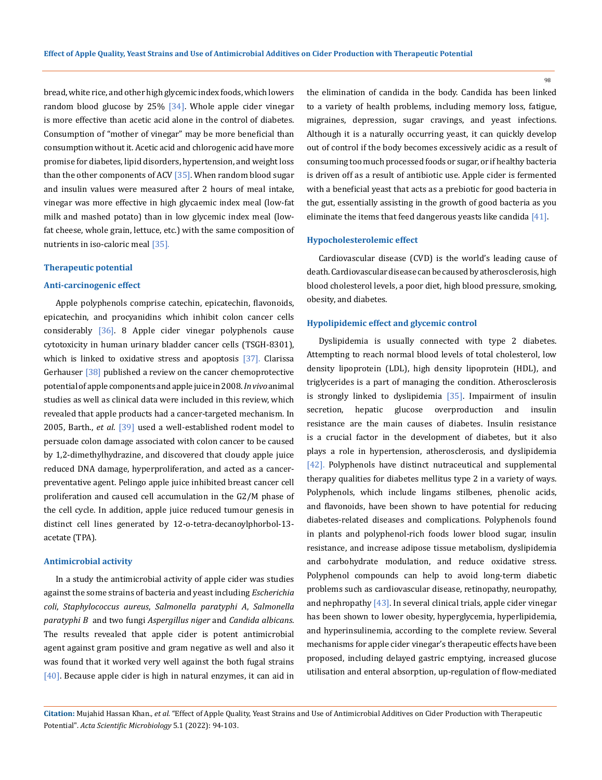bread, white rice, and other high glycemic index foods, which lowers random blood glucose by 25% [34]. Whole apple cider vinegar is more effective than acetic acid alone in the control of diabetes. Consumption of "mother of vinegar" may be more beneficial than consumption without it. Acetic acid and chlorogenic acid have more promise for diabetes, lipid disorders, hypertension, and weight loss than the other components of ACV [35]. When random blood sugar and insulin values were measured after 2 hours of meal intake, vinegar was more effective in high glycaemic index meal (low-fat milk and mashed potato) than in low glycemic index meal (lowfat cheese, whole grain, lettuce, etc.) with the same composition of nutrients in iso-caloric meal [35].

#### **Therapeutic potential**

## **Anti-carcinogenic effect**

Apple polyphenols comprise catechin, epicatechin, flavonoids, epicatechin, and procyanidins which inhibit colon cancer cells considerably [36]. 8 Apple cider vinegar polyphenols cause cytotoxicity in human urinary bladder cancer cells (TSGH-8301), which is linked to oxidative stress and apoptosis  $[37]$ . Clarissa Gerhauser [38] published a review on the cancer chemoprotective potential of apple components and apple juice in 2008. *In vivo* animal studies as well as clinical data were included in this review, which revealed that apple products had a cancer-targeted mechanism. In 2005, Barth., *et al*. [39] used a well-established rodent model to persuade colon damage associated with colon cancer to be caused by 1,2-dimethylhydrazine, and discovered that cloudy apple juice reduced DNA damage, hyperproliferation, and acted as a cancerpreventative agent. Pelingo apple juice inhibited breast cancer cell proliferation and caused cell accumulation in the G2/M phase of the cell cycle. In addition, apple juice reduced tumour genesis in distinct cell lines generated by 12-o-tetra-decanoylphorbol-13 acetate (TPA).

#### **Antimicrobial activity**

In a study the antimicrobial activity of apple cider was studies against the some strains of bacteria and yeast including *Escherichia coli*, *Staphylococcus aureus*, *Salmonella paratyphi A*, *Salmonella paratyphi B* and two fungi *Aspergillus niger* and *Candida albicans*. The results revealed that apple cider is potent antimicrobial agent against gram positive and gram negative as well and also it was found that it worked very well against the both fugal strains [40]. Because apple cider is high in natural enzymes, it can aid in the elimination of candida in the body. Candida has been linked to a variety of health problems, including memory loss, fatigue, migraines, depression, sugar cravings, and yeast infections. Although it is a naturally occurring yeast, it can quickly develop out of control if the body becomes excessively acidic as a result of consuming too much processed foods or sugar, or if healthy bacteria is driven off as a result of antibiotic use. Apple cider is fermented with a beneficial yeast that acts as a prebiotic for good bacteria in the gut, essentially assisting in the growth of good bacteria as you eliminate the items that feed dangerous yeasts like candida [41].

## **Hypocholesterolemic effect**

Cardiovascular disease (CVD) is the world's leading cause of death. Cardiovascular disease can be caused by atherosclerosis, high blood cholesterol levels, a poor diet, high blood pressure, smoking, obesity, and diabetes.

## **Hypolipidemic effect and glycemic control**

Dyslipidemia is usually connected with type 2 diabetes. Attempting to reach normal blood levels of total cholesterol, low density lipoprotein (LDL), high density lipoprotein (HDL), and triglycerides is a part of managing the condition. Atherosclerosis is strongly linked to dyslipidemia [35]. Impairment of insulin secretion, hepatic glucose overproduction and insulin resistance are the main causes of diabetes. Insulin resistance is a crucial factor in the development of diabetes, but it also plays a role in hypertension, atherosclerosis, and dyslipidemia [42]. Polyphenols have distinct nutraceutical and supplemental therapy qualities for diabetes mellitus type 2 in a variety of ways. Polyphenols, which include lingams stilbenes, phenolic acids, and flavonoids, have been shown to have potential for reducing diabetes-related diseases and complications. Polyphenols found in plants and polyphenol-rich foods lower blood sugar, insulin resistance, and increase adipose tissue metabolism, dyslipidemia and carbohydrate modulation, and reduce oxidative stress. Polyphenol compounds can help to avoid long-term diabetic problems such as cardiovascular disease, retinopathy, neuropathy, and nephropathy  $[43]$ . In several clinical trials, apple cider vinegar has been shown to lower obesity, hyperglycemia, hyperlipidemia, and hyperinsulinemia, according to the complete review. Several mechanisms for apple cider vinegar's therapeutic effects have been proposed, including delayed gastric emptying, increased glucose utilisation and enteral absorption, up-regulation of flow-mediated

**Citation:** Mujahid Hassan Khan*., et al.* "Effect of Apple Quality, Yeast Strains and Use of Antimicrobial Additives on Cider Production with Therapeutic Potential". *Acta Scientific Microbiology* 5.1 (2022): 94-103.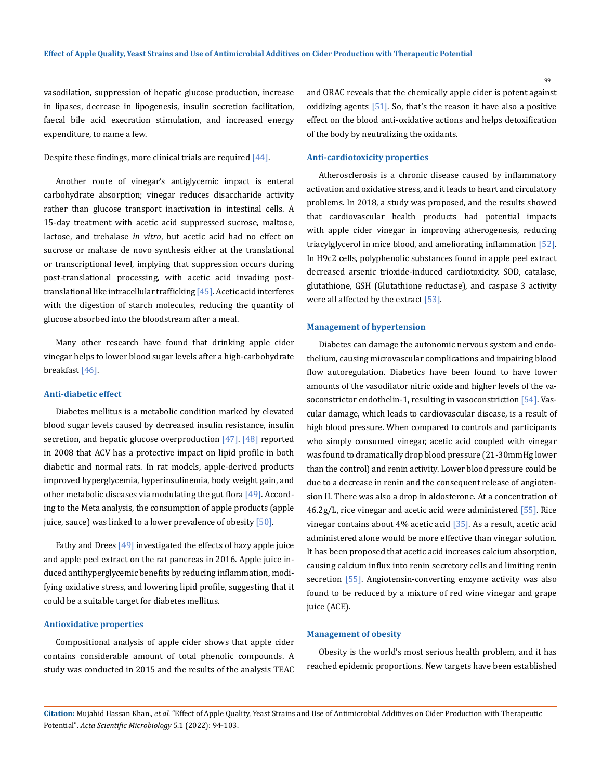vasodilation, suppression of hepatic glucose production, increase in lipases, decrease in lipogenesis, insulin secretion facilitation, faecal bile acid execration stimulation, and increased energy expenditure, to name a few.

#### Despite these findings, more clinical trials are required [44].

Another route of vinegar's antiglycemic impact is enteral carbohydrate absorption; vinegar reduces disaccharide activity rather than glucose transport inactivation in intestinal cells. A 15-day treatment with acetic acid suppressed sucrose, maltose, lactose, and trehalase *in vitro*, but acetic acid had no effect on sucrose or maltase de novo synthesis either at the translational or transcriptional level, implying that suppression occurs during post-translational processing, with acetic acid invading posttranslational like intracellular trafficking [45]. Acetic acid interferes with the digestion of starch molecules, reducing the quantity of glucose absorbed into the bloodstream after a meal.

Many other research have found that drinking apple cider vinegar helps to lower blood sugar levels after a high-carbohydrate breakfast [46].

## **Anti-diabetic effect**

Diabetes mellitus is a metabolic condition marked by elevated blood sugar levels caused by decreased insulin resistance, insulin secretion, and hepatic glucose overproduction  $[47]$ .  $[48]$  reported in 2008 that ACV has a protective impact on lipid profile in both diabetic and normal rats. In rat models, apple-derived products improved hyperglycemia, hyperinsulinemia, body weight gain, and other metabolic diseases via modulating the gut flora [49]. According to the Meta analysis, the consumption of apple products (apple juice, sauce) was linked to a lower prevalence of obesity  $[50]$ .

Fathy and Drees [49] investigated the effects of hazy apple juice and apple peel extract on the rat pancreas in 2016. Apple juice induced antihyperglycemic benefits by reducing inflammation, modifying oxidative stress, and lowering lipid profile, suggesting that it could be a suitable target for diabetes mellitus.

#### **Antioxidative properties**

Compositional analysis of apple cider shows that apple cider contains considerable amount of total phenolic compounds. A study was conducted in 2015 and the results of the analysis TEAC and ORAC reveals that the chemically apple cider is potent against oxidizing agents [51]. So, that's the reason it have also a positive effect on the blood anti-oxidative actions and helps detoxification of the body by neutralizing the oxidants.

#### **Anti-cardiotoxicity properties**

Atherosclerosis is a chronic disease caused by inflammatory activation and oxidative stress, and it leads to heart and circulatory problems. In 2018, a study was proposed, and the results showed that cardiovascular health products had potential impacts with apple cider vinegar in improving atherogenesis, reducing triacylglycerol in mice blood, and ameliorating inflammation [52]. In H9c2 cells, polyphenolic substances found in apple peel extract decreased arsenic trioxide-induced cardiotoxicity. SOD, catalase, glutathione, GSH (Glutathione reductase), and caspase 3 activity were all affected by the extract [53].

#### **Management of hypertension**

Diabetes can damage the autonomic nervous system and endothelium, causing microvascular complications and impairing blood flow autoregulation. Diabetics have been found to have lower amounts of the vasodilator nitric oxide and higher levels of the vasoconstrictor endothelin-1, resulting in vasoconstriction [54]. Vascular damage, which leads to cardiovascular disease, is a result of high blood pressure. When compared to controls and participants who simply consumed vinegar, acetic acid coupled with vinegar was found to dramatically drop blood pressure (21-30mmHg lower than the control) and renin activity. Lower blood pressure could be due to a decrease in renin and the consequent release of angiotension II. There was also a drop in aldosterone. At a concentration of 46.2g/L, rice vinegar and acetic acid were administered [55]. Rice vinegar contains about 4% acetic acid [35]. As a result, acetic acid administered alone would be more effective than vinegar solution. It has been proposed that acetic acid increases calcium absorption, causing calcium influx into renin secretory cells and limiting renin secretion [55]. Angiotensin-converting enzyme activity was also found to be reduced by a mixture of red wine vinegar and grape juice (ACE).

#### **Management of obesity**

Obesity is the world's most serious health problem, and it has reached epidemic proportions. New targets have been established

**Citation:** Mujahid Hassan Khan*., et al.* "Effect of Apple Quality, Yeast Strains and Use of Antimicrobial Additives on Cider Production with Therapeutic Potential". *Acta Scientific Microbiology* 5.1 (2022): 94-103.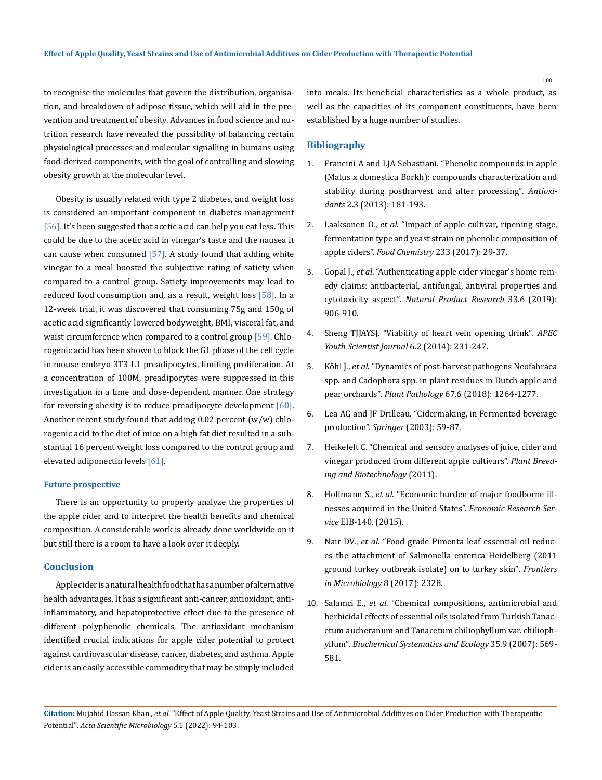to recognise the molecules that govern the distribution, organisation, and breakdown of adipose tissue, which will aid in the prevention and treatment of obesity. Advances in food science and nutrition research have revealed the possibility of balancing certain physiological processes and molecular signalling in humans using food-derived components, with the goal of controlling and slowing obesity growth at the molecular level.

Obesity is usually related with type 2 diabetes, and weight loss is considered an important component in diabetes management [56]. It's been suggested that acetic acid can help you eat less. This could be due to the acetic acid in vinegar's taste and the nausea it can cause when consumed  $[57]$ . A study found that adding white vinegar to a meal boosted the subjective rating of satiety when compared to a control group. Satiety improvements may lead to reduced food consumption and, as a result, weight loss [58]. In a 12-week trial, it was discovered that consuming 75g and 150g of acetic acid significantly lowered bodyweight, BMI, visceral fat, and waist circumference when compared to a control group [59]. Chlorogenic acid has been shown to block the G1 phase of the cell cycle in mouse embryo 3T3-L1 preadipocytes, limiting proliferation. At a concentration of 100M, preadipocytes were suppressed in this investigation in a time and dose-dependent manner. One strategy for reversing obesity is to reduce preadipocyte development  $[60]$ . Another recent study found that adding 0.02 percent (w/w) chlorogenic acid to the diet of mice on a high fat diet resulted in a substantial 16 percent weight loss compared to the control group and elevated adiponectin levels [61].

#### **Future prospective**

There is an opportunity to properly analyze the properties of the apple cider and to interpret the health benefits and chemical composition. A considerable work is already done worldwide on it but still there is a room to have a look over it deeply.

## **Conclusion**

Apple cider is a natural health food that has a number of alternative health advantages. It has a significant anti-cancer, antioxidant, antiinflammatory, and hepatoprotective effect due to the presence of different polyphenolic chemicals. The antioxidant mechanism identified crucial indications for apple cider potential to protect against cardiovascular disease, cancer, diabetes, and asthma. Apple cider is an easily accessible commodity that may be simply included

into meals. Its beneficial characteristics as a whole product, as well as the capacities of its component constituents, have been established by a huge number of studies.

## **Bibliography**

- 1. [Francini A and LJA Sebastiani. "Phenolic compounds in apple](https://pubmed.ncbi.nlm.nih.gov/26784345/)  [\(Malus x domestica Borkh\): compounds characterization and](https://pubmed.ncbi.nlm.nih.gov/26784345/) [stability during postharvest and after processing"](https://pubmed.ncbi.nlm.nih.gov/26784345/)*. Antioxidants* [2.3 \(2013\): 181-193.](https://pubmed.ncbi.nlm.nih.gov/26784345/)
- 2. Laaksonen O., *et al*[. "Impact of apple cultivar, ripening stage,](https://pubmed.ncbi.nlm.nih.gov/28530577/)  [fermentation type and yeast strain on phenolic composition of](https://pubmed.ncbi.nlm.nih.gov/28530577/) apple ciders". *Food Chemistry* [233 \(2017\): 29-37.](https://pubmed.ncbi.nlm.nih.gov/28530577/)
- 3. Gopal J., *et al*[. "Authenticating apple cider vinegar's home rem](https://pubmed.ncbi.nlm.nih.gov/29224370/)[edy claims: antibacterial, antifungal, antiviral properties and](https://pubmed.ncbi.nlm.nih.gov/29224370/) cytotoxicity aspect"*[. Natural Product Research](https://pubmed.ncbi.nlm.nih.gov/29224370/)* 33.6 (2019): [906-910.](https://pubmed.ncbi.nlm.nih.gov/29224370/)
- 4. [Sheng TJJAYSJ. "Viability of heart vein opening drink"](http://amgs.or.kr/New/common/journal/vol6/vol6_no.2-20.pdf)*. APEC [Youth Scientist Journal](http://amgs.or.kr/New/common/journal/vol6/vol6_no.2-20.pdf)* 6.2 (2014): 231-247.
- 5. Köhl J., *et al*[. "Dynamics of post‐harvest pathogens Neofabraea](https://bsppjournals.onlinelibrary.wiley.com/doi/full/10.1111/ppa.12854) [spp. and Cadophora spp. in plant residues in Dutch apple and](https://bsppjournals.onlinelibrary.wiley.com/doi/full/10.1111/ppa.12854)  pear orchards"*. Plant Pathology* [67.6 \(2018\): 1264-1277.](https://bsppjournals.onlinelibrary.wiley.com/doi/full/10.1111/ppa.12854)
- 6. [Lea AG and JF Drilleau. "Cidermaking, in Fermented beverage](https://link.springer.com/book/10.1007/978-1-4615-0187-9) production". *Springer* [\(2003\): 59-87.](https://link.springer.com/book/10.1007/978-1-4615-0187-9)
- 7. [Heikefelt C. "Chemical and sensory analyses of juice, cider and](https://stud.epsilon.slu.se/2481/1/heikefelt_c_110415.pdf) [vinegar produced from different apple cultivars".](https://stud.epsilon.slu.se/2481/1/heikefelt_c_110415.pdf) *Plant Breed[ing and Biotechnology](https://stud.epsilon.slu.se/2481/1/heikefelt_c_110415.pdf)* (2011).
- 8. Hoffmann S., *et al*[. "Economic burden of major foodborne ill](https://www.ers.usda.gov/publications/pub-details/?pubid=43987)[nesses acquired in the United States".](https://www.ers.usda.gov/publications/pub-details/?pubid=43987) *Economic Research Service* [EIB-140. \(2015\).](https://www.ers.usda.gov/publications/pub-details/?pubid=43987)
- 9. Nair DV., *et al*[. "Food grade Pimenta leaf essential oil reduc](https://pubmed.ncbi.nlm.nih.gov/29234313/)[es the attachment of Salmonella enterica Heidelberg \(2011](https://pubmed.ncbi.nlm.nih.gov/29234313/) [ground turkey outbreak isolate\) on to turkey skin"](https://pubmed.ncbi.nlm.nih.gov/29234313/)*. Frontiers [in Microbiology](https://pubmed.ncbi.nlm.nih.gov/29234313/)* 8 (2017): 2328.
- 10. Salamci E., *et al*[. "Chemical compositions, antimicrobial and](https://www.sciencedirect.com/science/article/pii/S0305197807000580)  [herbicidal effects of essential oils isolated from Turkish Tanac](https://www.sciencedirect.com/science/article/pii/S0305197807000580)[etum aucheranum and Tanacetum chiliophyllum var. chilioph](https://www.sciencedirect.com/science/article/pii/S0305197807000580)yllum"*. [Biochemical Systematics and Ecology](https://www.sciencedirect.com/science/article/pii/S0305197807000580)* 35.9 (2007): 569- [581.](https://www.sciencedirect.com/science/article/pii/S0305197807000580)

**Citation:** Mujahid Hassan Khan*., et al.* "Effect of Apple Quality, Yeast Strains and Use of Antimicrobial Additives on Cider Production with Therapeutic Potential". *Acta Scientific Microbiology* 5.1 (2022): 94-103.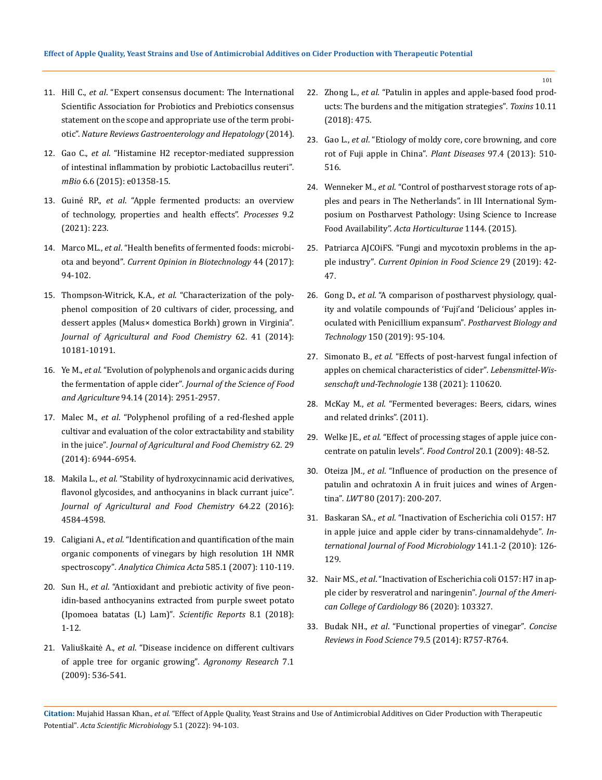- 11. Hill C., *et al*[. "Expert consensus document: The International](https://pubmed.ncbi.nlm.nih.gov/24912386/)  [Scientific Association for Probiotics and Prebiotics consensus](https://pubmed.ncbi.nlm.nih.gov/24912386/)  [statement on the scope and appropriate use of the term probi](https://pubmed.ncbi.nlm.nih.gov/24912386/)otic". *[Nature Reviews Gastroenterology and Hepatology](https://pubmed.ncbi.nlm.nih.gov/24912386/)* (2014).
- 12. Gao C., *et al*[. "Histamine H2 receptor-mediated suppression](https://pubmed.ncbi.nlm.nih.gov/26670383/)  [of intestinal inflammation by probiotic Lactobacillus reuteri"](https://pubmed.ncbi.nlm.nih.gov/26670383/)*. mBio* [6.6 \(2015\): e01358-15.](https://pubmed.ncbi.nlm.nih.gov/26670383/)
- 13. Guiné RP., *et al*[. "Apple fermented products: an overview](https://www.mdpi.com/2227-9717/9/2/223)  [of technology, properties and health effects".](https://www.mdpi.com/2227-9717/9/2/223) *Processes* 9.2 [\(2021\): 223.](https://www.mdpi.com/2227-9717/9/2/223)
- 14. Marco ML., *et al*[. "Health benefits of fermented foods: microbi](https://pubmed.ncbi.nlm.nih.gov/27998788/)ota and beyond"*[. Current Opinion in Biotechnology](https://pubmed.ncbi.nlm.nih.gov/27998788/)* 44 (2017): [94-102.](https://pubmed.ncbi.nlm.nih.gov/27998788/)
- 15. Thompson-Witrick, K.A., *et al*[. "Characterization of the poly](https://pubmed.ncbi.nlm.nih.gov/25228269/)[phenol composition of 20 cultivars of cider, processing, and](https://pubmed.ncbi.nlm.nih.gov/25228269/)  [dessert apples \(Malus× domestica Borkh\) grown in Virginia"](https://pubmed.ncbi.nlm.nih.gov/25228269/)*. [Journal of Agricultural and Food Chemistry](https://pubmed.ncbi.nlm.nih.gov/25228269/)* 62. 41 (2014): [10181-10191.](https://pubmed.ncbi.nlm.nih.gov/25228269/)
- 16. Ye M., *et al*[. "Evolution of polyphenols and organic acids during](https://pubmed.ncbi.nlm.nih.gov/24615462/)  the fermentation of apple cider"*. [Journal of the Science of Food](https://pubmed.ncbi.nlm.nih.gov/24615462/)  and Agriculture* [94.14 \(2014\): 2951-2957.](https://pubmed.ncbi.nlm.nih.gov/24615462/)
- 17. Malec M., *et al*[. "Polyphenol profiling of a red-fleshed apple](https://pubmed.ncbi.nlm.nih.gov/24655330/)  [cultivar and evaluation of the color extractability and stability](https://pubmed.ncbi.nlm.nih.gov/24655330/)  in the juice"*. [Journal of Agricultural and Food Chemistry](https://pubmed.ncbi.nlm.nih.gov/24655330/)* 62. 29 [\(2014\): 6944-6954.](https://pubmed.ncbi.nlm.nih.gov/24655330/)
- 18. Makila L., *et al*[. "Stability of hydroxycinnamic acid derivatives,](https://pubs.acs.org/doi/10.1021/acs.jafc.6b01005)  [flavonol glycosides, and anthocyanins in black currant juice"](https://pubs.acs.org/doi/10.1021/acs.jafc.6b01005)*. [Journal of Agricultural and Food Chemistry](https://pubs.acs.org/doi/10.1021/acs.jafc.6b01005)* 64.22 (2016): [4584-4598.](https://pubs.acs.org/doi/10.1021/acs.jafc.6b01005)
- 19. Caligiani A., *et al*[. "Identification and quantification of the main](https://www.sciencedirect.com/science/article/abs/pii/S0003267006023944)  [organic components of vinegars by high resolution 1H NMR](https://www.sciencedirect.com/science/article/abs/pii/S0003267006023944)  spectroscopy"*. [Analytica Chimica Acta](https://www.sciencedirect.com/science/article/abs/pii/S0003267006023944)* 585.1 (2007): 110-119.
- 20. Sun H., *et al*[. "Antioxidant and prebiotic activity of five peon](https://pubmed.ncbi.nlm.nih.gov/29568082/)[idin-based anthocyanins extracted from purple sweet potato](https://pubmed.ncbi.nlm.nih.gov/29568082/)  [\(Ipomoea batatas \(L\) Lam\)"](https://pubmed.ncbi.nlm.nih.gov/29568082/)*. Scientific Reports* 8.1 (2018): [1-12.](https://pubmed.ncbi.nlm.nih.gov/29568082/)
- 21. Valiuškaitė A., *et al*[. "Disease incidence on different cultivars](https://agronomy.emu.ee/vol07Spec1/p7sI62.pdf)  [of apple tree for organic growing"](https://agronomy.emu.ee/vol07Spec1/p7sI62.pdf)*. Agronomy Research* 7.1 [\(2009\): 536-541.](https://agronomy.emu.ee/vol07Spec1/p7sI62.pdf)
- 22. Zhong L., *et al*[. "Patulin in apples and apple-based food prod](https://www.mdpi.com/2072-6651/10/11/475)[ucts: The burdens and the mitigation strategies"](https://www.mdpi.com/2072-6651/10/11/475)*. Toxins* 10.11 [\(2018\): 475.](https://www.mdpi.com/2072-6651/10/11/475)
- 23. Gao L., *et al*[. "Etiology of moldy core, core browning, and core](https://pubmed.ncbi.nlm.nih.gov/30722224/)  [rot of Fuji apple in China"](https://pubmed.ncbi.nlm.nih.gov/30722224/)*. Plant Diseases* 97.4 (2013): 510- [516.](https://pubmed.ncbi.nlm.nih.gov/30722224/)
- 24. Wenneker M., *et al*[. "Control of postharvest storage rots of ap](https://www.ishs.org/ishs-article/1144_27)[ples and pears in The Netherlands". in III International Sym](https://www.ishs.org/ishs-article/1144_27)[posium on Postharvest Pathology: Using Science to Increase](https://www.ishs.org/ishs-article/1144_27)  Food Availability". *[Acta Horticulturae](https://www.ishs.org/ishs-article/1144_27)* 1144. (2015).
- 25. [Patriarca AJCOiFS. "Fungi and mycotoxin problems in the ap](https://www.sciencedirect.com/science/article/abs/pii/S2214799319300505)ple industry"*. [Current Opinion in Food Science](https://www.sciencedirect.com/science/article/abs/pii/S2214799319300505)* 29 (2019): 42- [47.](https://www.sciencedirect.com/science/article/abs/pii/S2214799319300505)
- 26. Gong D., *et al*[. "A comparison of postharvest physiology, qual](https://www.sciencedirect.com/science/article/abs/pii/S0925521418308998)[ity and volatile compounds of 'Fuji'and 'Delicious' apples in](https://www.sciencedirect.com/science/article/abs/pii/S0925521418308998)[oculated with Penicillium expansum"](https://www.sciencedirect.com/science/article/abs/pii/S0925521418308998)*. Postharvest Biology and Technology* [150 \(2019\): 95-104.](https://www.sciencedirect.com/science/article/abs/pii/S0925521418308998)
- 27. Simonato B., *et al*[. "Effects of post-harvest fungal infection of](https://www.researchgate.net/publication/347254262_Effects_of_post-harvest_fungal_infection_of_apples_on_chemical_characteristics_of_cider)  [apples on chemical characteristics of cider"](https://www.researchgate.net/publication/347254262_Effects_of_post-harvest_fungal_infection_of_apples_on_chemical_characteristics_of_cider)*. Lebensmittel-Wis[senschaft und-Technologie](https://www.researchgate.net/publication/347254262_Effects_of_post-harvest_fungal_infection_of_apples_on_chemical_characteristics_of_cider)* 138 (2021): 110620.
- 28. McKay M., *et al*. "Fermented beverages: Beers, cidars, wines and related drinks". (2011).
- 29. Welke JE., *et al*[. "Effect of processing stages of apple juice con](https://www.sciencedirect.com/science/article/abs/pii/S095671350800042X)[centrate on patulin levels"](https://www.sciencedirect.com/science/article/abs/pii/S095671350800042X)*. Food Control* 20.1 (2009): 48-52.
- 30. Oteiza JM., *et al*[. "Influence of production on the presence of](https://www.sciencedirect.com/science/article/pii/S0023643817301263)  [patulin and ochratoxin A in fruit juices and wines of Argen](https://www.sciencedirect.com/science/article/pii/S0023643817301263)tina"*. LWT* [80 \(2017\): 200-207.](https://www.sciencedirect.com/science/article/pii/S0023643817301263)
- 31. Baskaran SA., *et al*[. "Inactivation of Escherichia coli O157: H7](https://pubmed.ncbi.nlm.nih.gov/20442003/)  [in apple juice and apple cider by trans-cinnamaldehyde"](https://pubmed.ncbi.nlm.nih.gov/20442003/)*. In[ternational Journal of Food Microbiology](https://pubmed.ncbi.nlm.nih.gov/20442003/)* 141.1-2 (2010): 126- [129.](https://pubmed.ncbi.nlm.nih.gov/20442003/)
- 32. Nair MS., *et al*[. "Inactivation of Escherichia coli O157: H7 in ap](https://pubmed.ncbi.nlm.nih.gov/31703855/)[ple cider by resveratrol and naringenin"](https://pubmed.ncbi.nlm.nih.gov/31703855/)*. Journal of the Ameri[can College of Cardiology](https://pubmed.ncbi.nlm.nih.gov/31703855/)* 86 (2020): 103327.
- 33. Budak NH., *et al*[. "Functional properties of vinegar"](https://ift.onlinelibrary.wiley.com/doi/10.1111/1750-3841.12434)*. Concise [Reviews in Food Science](https://ift.onlinelibrary.wiley.com/doi/10.1111/1750-3841.12434)* 79.5 (2014): R757-R764.

**Citation:** Mujahid Hassan Khan*., et al.* "Effect of Apple Quality, Yeast Strains and Use of Antimicrobial Additives on Cider Production with Therapeutic Potential". *Acta Scientific Microbiology* 5.1 (2022): 94-103.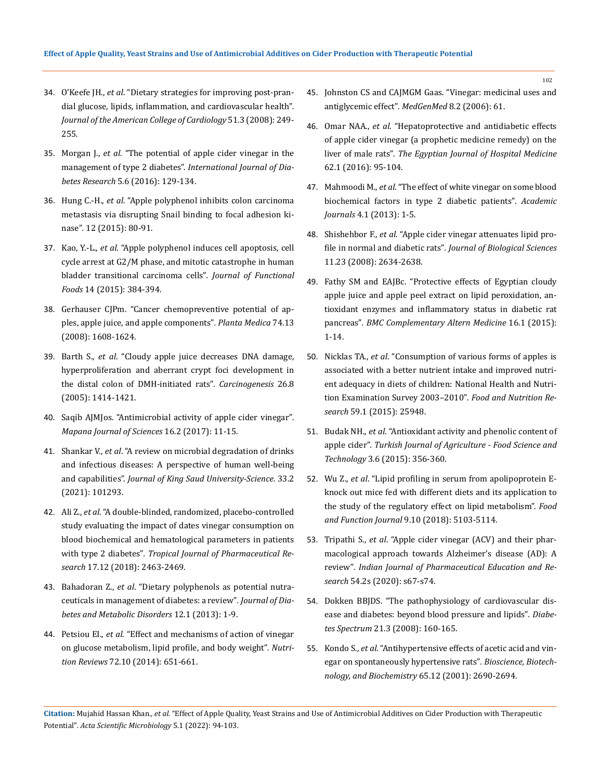- 34. O'Keefe JH., *et al*[. "Dietary strategies for improving post-pran](https://pubmed.ncbi.nlm.nih.gov/18206731/)[dial glucose, lipids, inflammation, and cardiovascular health"](https://pubmed.ncbi.nlm.nih.gov/18206731/)*. [Journal of the American College of Cardiology](https://pubmed.ncbi.nlm.nih.gov/18206731/)* 51.3 (2008): 249- [255.](https://pubmed.ncbi.nlm.nih.gov/18206731/)
- 35. Morgan J., *et al*[. "The potential of apple cider vinegar in the](https://research-repository.griffith.edu.au/bitstream/handle/10072/101108/MorganPUB2971.pdf?sequence=1)  management of type 2 diabetes". *[International Journal of Dia](https://research-repository.griffith.edu.au/bitstream/handle/10072/101108/MorganPUB2971.pdf?sequence=1)betes Research* [5.6 \(2016\): 129-134.](https://research-repository.griffith.edu.au/bitstream/handle/10072/101108/MorganPUB2971.pdf?sequence=1)
- 36. Hung C.-H., *et al*[. "Apple polyphenol inhibits colon carcinoma](https://www.cabdirect.org/globalhealth/abstract/20153027314)  [metastasis via disrupting Snail binding to focal adhesion ki](https://www.cabdirect.org/globalhealth/abstract/20153027314)nase"*.* [12 \(2015\): 80-91.](https://www.cabdirect.org/globalhealth/abstract/20153027314)
- 37. Kao, Y.-L., *et al*[. "Apple polyphenol induces cell apoptosis, cell](https://www.cabdirect.org/globalhealth/abstract/20153027314)  [cycle arrest at G2/M phase, and mitotic catastrophe in human](https://www.cabdirect.org/globalhealth/abstract/20153027314)  [bladder transitional carcinoma cells"](https://www.cabdirect.org/globalhealth/abstract/20153027314)*. Journal of Functional Foods* [14 \(2015\): 384-394.](https://www.cabdirect.org/globalhealth/abstract/20153027314)
- 38. [Gerhauser CJPm. "Cancer chemopreventive potential of ap](https://pubmed.ncbi.nlm.nih.gov/18855307/)[ples, apple juice, and apple components"](https://pubmed.ncbi.nlm.nih.gov/18855307/)*. Planta Medica* 74.13 [\(2008\): 1608-1624.](https://pubmed.ncbi.nlm.nih.gov/18855307/)
- 39. Barth S., *et al*[. "Cloudy apple juice decreases DNA damage,](https://watermark.silverchair.com/bgi082.pdf?token=AQECAHi208BE49Ooan9kkhW_Ercy7Dm3ZL_9Cf3qfKAc485ysgAAAskwggLFBgkqhkiG9w0BBwagggK2MIICsgIBADCCAqsGCSqGSIb3DQEHATAeBglghkgBZQMEAS4wEQQM9pdEOhdDsO53ESHiAgEQgIICfG8SY6047Hu8vHlLG1L59x7Q23imrTctNXQ89mnAsSZ4woxRi0TerYwP1PFIi9w9KCG8tsmsY8piLnIAzjFmAMsx1WCvDqUNyyOopTElEdAkLOMiYYnTJxdaV9DIFg2-beB0l2KH1iXQxju1ZFqTJHtzpunbjmXcGzh-XhsPTo_3WPT4zunk3dZ_vhC1Y-uJvk-noltn934PDZsckjTHjuFNYXPwMYVFCj1D6uHegadGhJJF1sEoGQZwNvSAfROTlLcPRzjEWI17le3MV_tJTRtcD_nwxs4td52UVJC23K_CN1balh4al19sWdP1h40UwdILRkToU3r3WOxPQA1dLpk0AzMtGr5JoAQCEqNp_qTHDcksn-HqLGoUg1YLk3brCHzDEW2AyVn_leTTKt2RmvLTRZXmqI1tSM2hwE6FLoS9g2odT7_OvqPOlUWjGIaPopS7u4OkPCyGRgmdTCTF28nOfpyDlvgQTZGzRdJzVhwk7ZuJe5HFgCeTMpi20hUsL_UiJsiNHOzlheXgggD69uncpVYU2HmS6V2jcF0guLVxrJe7SWQP-DV3Qv6NqheD0TGL6XgZLYpA0qU2G7KUVXi1hrWGEvWN9RLj15OW79bhUVtY5wVP_gQJJkmCBz5AjczN1vqskPmFRhTLX1Hb6qFxt_qxghjQJPSDFoOHUgnjl8HocJfvO4OYUm7MjlaeS1P1WsTmDbH-DHj63LRWFmsrtELEtnQN8ScQU4JUuoRlXtEYLxBjb2PRSwTXPkUXDIbBHR_C62QHJc7oI-F0tMCPTXYxxgh3fmNOutJ3RBU6D_KVO42kXGBfsMI9meM17gwgzuG58bLDJJfvyg)  [hyperproliferation and aberrant crypt foci development in](https://watermark.silverchair.com/bgi082.pdf?token=AQECAHi208BE49Ooan9kkhW_Ercy7Dm3ZL_9Cf3qfKAc485ysgAAAskwggLFBgkqhkiG9w0BBwagggK2MIICsgIBADCCAqsGCSqGSIb3DQEHATAeBglghkgBZQMEAS4wEQQM9pdEOhdDsO53ESHiAgEQgIICfG8SY6047Hu8vHlLG1L59x7Q23imrTctNXQ89mnAsSZ4woxRi0TerYwP1PFIi9w9KCG8tsmsY8piLnIAzjFmAMsx1WCvDqUNyyOopTElEdAkLOMiYYnTJxdaV9DIFg2-beB0l2KH1iXQxju1ZFqTJHtzpunbjmXcGzh-XhsPTo_3WPT4zunk3dZ_vhC1Y-uJvk-noltn934PDZsckjTHjuFNYXPwMYVFCj1D6uHegadGhJJF1sEoGQZwNvSAfROTlLcPRzjEWI17le3MV_tJTRtcD_nwxs4td52UVJC23K_CN1balh4al19sWdP1h40UwdILRkToU3r3WOxPQA1dLpk0AzMtGr5JoAQCEqNp_qTHDcksn-HqLGoUg1YLk3brCHzDEW2AyVn_leTTKt2RmvLTRZXmqI1tSM2hwE6FLoS9g2odT7_OvqPOlUWjGIaPopS7u4OkPCyGRgmdTCTF28nOfpyDlvgQTZGzRdJzVhwk7ZuJe5HFgCeTMpi20hUsL_UiJsiNHOzlheXgggD69uncpVYU2HmS6V2jcF0guLVxrJe7SWQP-DV3Qv6NqheD0TGL6XgZLYpA0qU2G7KUVXi1hrWGEvWN9RLj15OW79bhUVtY5wVP_gQJJkmCBz5AjczN1vqskPmFRhTLX1Hb6qFxt_qxghjQJPSDFoOHUgnjl8HocJfvO4OYUm7MjlaeS1P1WsTmDbH-DHj63LRWFmsrtELEtnQN8ScQU4JUuoRlXtEYLxBjb2PRSwTXPkUXDIbBHR_C62QHJc7oI-F0tMCPTXYxxgh3fmNOutJ3RBU6D_KVO42kXGBfsMI9meM17gwgzuG58bLDJJfvyg)  [the distal colon of DMH-initiated rats"](https://watermark.silverchair.com/bgi082.pdf?token=AQECAHi208BE49Ooan9kkhW_Ercy7Dm3ZL_9Cf3qfKAc485ysgAAAskwggLFBgkqhkiG9w0BBwagggK2MIICsgIBADCCAqsGCSqGSIb3DQEHATAeBglghkgBZQMEAS4wEQQM9pdEOhdDsO53ESHiAgEQgIICfG8SY6047Hu8vHlLG1L59x7Q23imrTctNXQ89mnAsSZ4woxRi0TerYwP1PFIi9w9KCG8tsmsY8piLnIAzjFmAMsx1WCvDqUNyyOopTElEdAkLOMiYYnTJxdaV9DIFg2-beB0l2KH1iXQxju1ZFqTJHtzpunbjmXcGzh-XhsPTo_3WPT4zunk3dZ_vhC1Y-uJvk-noltn934PDZsckjTHjuFNYXPwMYVFCj1D6uHegadGhJJF1sEoGQZwNvSAfROTlLcPRzjEWI17le3MV_tJTRtcD_nwxs4td52UVJC23K_CN1balh4al19sWdP1h40UwdILRkToU3r3WOxPQA1dLpk0AzMtGr5JoAQCEqNp_qTHDcksn-HqLGoUg1YLk3brCHzDEW2AyVn_leTTKt2RmvLTRZXmqI1tSM2hwE6FLoS9g2odT7_OvqPOlUWjGIaPopS7u4OkPCyGRgmdTCTF28nOfpyDlvgQTZGzRdJzVhwk7ZuJe5HFgCeTMpi20hUsL_UiJsiNHOzlheXgggD69uncpVYU2HmS6V2jcF0guLVxrJe7SWQP-DV3Qv6NqheD0TGL6XgZLYpA0qU2G7KUVXi1hrWGEvWN9RLj15OW79bhUVtY5wVP_gQJJkmCBz5AjczN1vqskPmFRhTLX1Hb6qFxt_qxghjQJPSDFoOHUgnjl8HocJfvO4OYUm7MjlaeS1P1WsTmDbH-DHj63LRWFmsrtELEtnQN8ScQU4JUuoRlXtEYLxBjb2PRSwTXPkUXDIbBHR_C62QHJc7oI-F0tMCPTXYxxgh3fmNOutJ3RBU6D_KVO42kXGBfsMI9meM17gwgzuG58bLDJJfvyg)*. Carcinogenesis* 26.8 [\(2005\): 1414-1421.](https://watermark.silverchair.com/bgi082.pdf?token=AQECAHi208BE49Ooan9kkhW_Ercy7Dm3ZL_9Cf3qfKAc485ysgAAAskwggLFBgkqhkiG9w0BBwagggK2MIICsgIBADCCAqsGCSqGSIb3DQEHATAeBglghkgBZQMEAS4wEQQM9pdEOhdDsO53ESHiAgEQgIICfG8SY6047Hu8vHlLG1L59x7Q23imrTctNXQ89mnAsSZ4woxRi0TerYwP1PFIi9w9KCG8tsmsY8piLnIAzjFmAMsx1WCvDqUNyyOopTElEdAkLOMiYYnTJxdaV9DIFg2-beB0l2KH1iXQxju1ZFqTJHtzpunbjmXcGzh-XhsPTo_3WPT4zunk3dZ_vhC1Y-uJvk-noltn934PDZsckjTHjuFNYXPwMYVFCj1D6uHegadGhJJF1sEoGQZwNvSAfROTlLcPRzjEWI17le3MV_tJTRtcD_nwxs4td52UVJC23K_CN1balh4al19sWdP1h40UwdILRkToU3r3WOxPQA1dLpk0AzMtGr5JoAQCEqNp_qTHDcksn-HqLGoUg1YLk3brCHzDEW2AyVn_leTTKt2RmvLTRZXmqI1tSM2hwE6FLoS9g2odT7_OvqPOlUWjGIaPopS7u4OkPCyGRgmdTCTF28nOfpyDlvgQTZGzRdJzVhwk7ZuJe5HFgCeTMpi20hUsL_UiJsiNHOzlheXgggD69uncpVYU2HmS6V2jcF0guLVxrJe7SWQP-DV3Qv6NqheD0TGL6XgZLYpA0qU2G7KUVXi1hrWGEvWN9RLj15OW79bhUVtY5wVP_gQJJkmCBz5AjczN1vqskPmFRhTLX1Hb6qFxt_qxghjQJPSDFoOHUgnjl8HocJfvO4OYUm7MjlaeS1P1WsTmDbH-DHj63LRWFmsrtELEtnQN8ScQU4JUuoRlXtEYLxBjb2PRSwTXPkUXDIbBHR_C62QHJc7oI-F0tMCPTXYxxgh3fmNOutJ3RBU6D_KVO42kXGBfsMI9meM17gwgzuG58bLDJJfvyg)
- 40. [Saqib AJMJos. "Antimicrobial activity of apple cider vinegar"](https://www.researchgate.net/publication/333839375_Antimicrobial_Activity_of_Apple_Cider_Vinegar)*. [Mapana Journal of Sciences](https://www.researchgate.net/publication/333839375_Antimicrobial_Activity_of_Apple_Cider_Vinegar)* 16.2 (2017): 11-15.
- 41. Shankar V., *et al*[. "A review on microbial degradation of drinks](https://www.sciencedirect.com/science/article/pii/S1018364720304067)  [and infectious diseases: A perspective of human well-being](https://www.sciencedirect.com/science/article/pii/S1018364720304067)  and capabilities". *[Journal of King Saud University-Science](https://www.sciencedirect.com/science/article/pii/S1018364720304067)*. 33.2 [\(2021\): 101293.](https://www.sciencedirect.com/science/article/pii/S1018364720304067)
- 42. Ali Z., *et al*[. "A double-blinded, randomized, placebo-controlled](https://www.ajol.info/index.php/tjpr/article/view/184689)  [study evaluating the impact of dates vinegar consumption on](https://www.ajol.info/index.php/tjpr/article/view/184689)  [blood biochemical and hematological parameters in patients](https://www.ajol.info/index.php/tjpr/article/view/184689)  with type 2 diabetes"*[. Tropical Journal of Pharmaceutical Re](https://www.ajol.info/index.php/tjpr/article/view/184689)search* [17.12 \(2018\): 2463-2469.](https://www.ajol.info/index.php/tjpr/article/view/184689)
- 43. Bahadoran Z., *et al*[. "Dietary polyphenols as potential nutra](https://pubmed.ncbi.nlm.nih.gov/23938049/)[ceuticals in management of diabetes: a review"](https://pubmed.ncbi.nlm.nih.gov/23938049/)*. Journal of Dia[betes and Metabolic Disorders](https://pubmed.ncbi.nlm.nih.gov/23938049/)* 12.1 (2013): 1-9.
- 44. Petsiou EI., *et al*[. "Effect and mechanisms of action of vinegar](https://pubmed.ncbi.nlm.nih.gov/25168916/)  [on glucose metabolism, lipid profile, and body weight"](https://pubmed.ncbi.nlm.nih.gov/25168916/)*. Nutrition Reviews* [72.10 \(2014\): 651-661.](https://pubmed.ncbi.nlm.nih.gov/25168916/)
- 45. [Johnston CS and CAJMGM Gaas. "Vinegar: medicinal uses and](https://www.ncbi.nlm.nih.gov/pmc/articles/PMC1785201/)  [antiglycemic effect"](https://www.ncbi.nlm.nih.gov/pmc/articles/PMC1785201/)*. MedGenMed* 8.2 (2006): 61.
- 46. Omar NAA., *et al*[. "Hepatoprotective and antidiabetic effects](https://ejhm.journals.ekb.eg/article_15389.html)  [of apple cider vinegar \(a prophetic medicine remedy\) on the](https://ejhm.journals.ekb.eg/article_15389.html)  liver of male rats"*[. The Egyptian Journal of Hospital Medicine](https://ejhm.journals.ekb.eg/article_15389.html)*  [62.1 \(2016\): 95-104.](https://ejhm.journals.ekb.eg/article_15389.html)
- 47. Mahmoodi M., *et al*[. "The effect of white vinegar on some blood](https://academicjournals.org/article/article1379665995_Mahmoodi%20et%20al.pdf)  [biochemical factors in type 2 diabetic patients"](https://academicjournals.org/article/article1379665995_Mahmoodi%20et%20al.pdf)*. Academic Journals* [4.1 \(2013\): 1-5.](https://academicjournals.org/article/article1379665995_Mahmoodi%20et%20al.pdf)
- 48. Shishehbor F., *et al*[. "Apple cider vinegar attenuates lipid pro](https://pubmed.ncbi.nlm.nih.gov/19630216/)file in normal and diabetic rats"*[. Journal of Biological Sciences](https://pubmed.ncbi.nlm.nih.gov/19630216/)* [11.23 \(2008\): 2634-2638.](https://pubmed.ncbi.nlm.nih.gov/19630216/)
- 49. [Fathy SM and EAJBc. "Protective effects of Egyptian cloudy](https://www.ncbi.nlm.nih.gov/pmc/articles/PMC4707737/)  [apple juice and apple peel extract on lipid peroxidation, an](https://www.ncbi.nlm.nih.gov/pmc/articles/PMC4707737/)[tioxidant enzymes and inflammatory status in diabetic rat](https://www.ncbi.nlm.nih.gov/pmc/articles/PMC4707737/)  pancreas"*[. BMC Complementary Altern Medicine](https://www.ncbi.nlm.nih.gov/pmc/articles/PMC4707737/)* 16.1 (2015): [1-14.](https://www.ncbi.nlm.nih.gov/pmc/articles/PMC4707737/)
- 50. Nicklas TA., *et al*[. "Consumption of various forms of apples is](https://pubmed.ncbi.nlm.nih.gov/26445211/)  [associated with a better nutrient intake and improved nutri](https://pubmed.ncbi.nlm.nih.gov/26445211/)[ent adequacy in diets of children: National Health and Nutri](https://pubmed.ncbi.nlm.nih.gov/26445211/)[tion Examination Survey 2003–2010"](https://pubmed.ncbi.nlm.nih.gov/26445211/)*. Food and Nutrition Research* [59.1 \(2015\): 25948.](https://pubmed.ncbi.nlm.nih.gov/26445211/)
- 51. Budak NH., *et al*[. "Antioxidant activity and phenolic content of](https://www.researchgate.net/publication/316451824_Antioxidant_Activity_and_Phenolic_Content_of_Apple_Cider)  apple cider"*[. Turkish Journal of Agriculture - Food Science and](https://www.researchgate.net/publication/316451824_Antioxidant_Activity_and_Phenolic_Content_of_Apple_Cider)  Technology* [3.6 \(2015\): 356-360.](https://www.researchgate.net/publication/316451824_Antioxidant_Activity_and_Phenolic_Content_of_Apple_Cider)
- 52. Wu Z., *et al*[. "Lipid profiling in serum from apolipoprotein E](https://pubmed.ncbi.nlm.nih.gov/30207361/)[knock out mice fed with different diets and its application to](https://pubmed.ncbi.nlm.nih.gov/30207361/)  [the study of the regulatory effect on lipid metabolism".](https://pubmed.ncbi.nlm.nih.gov/30207361/) *Food [and Function Journal](https://pubmed.ncbi.nlm.nih.gov/30207361/)* 9.10 (2018): 5103-5114.
- 53. Tripathi S., *et al*[. "Apple cider vinegar \(ACV\) and their phar](https://www.ijper.org/sites/default/files/IndJPhaEdRes-54-2s-67.pdf)[macological approach towards Alzheimer's disease \(AD\): A](https://www.ijper.org/sites/default/files/IndJPhaEdRes-54-2s-67.pdf)  review"*[. Indian Journal of Pharmaceutical Education and Re](https://www.ijper.org/sites/default/files/IndJPhaEdRes-54-2s-67.pdf)search* [54.2s \(2020\): s67-s74.](https://www.ijper.org/sites/default/files/IndJPhaEdRes-54-2s-67.pdf)
- 54. [Dokken BBJDS. "The pathophysiology of cardiovascular dis](https://diabetesjournals.org/spectrum/article/21/3/160/2008/The-Pathophysiology-of-Cardiovascular-Disease-and)[ease and diabetes: beyond blood pressure and lipids"](https://diabetesjournals.org/spectrum/article/21/3/160/2008/The-Pathophysiology-of-Cardiovascular-Disease-and)*. Diabetes Spectrum* [21.3 \(2008\): 160-165.](https://diabetesjournals.org/spectrum/article/21/3/160/2008/The-Pathophysiology-of-Cardiovascular-Disease-and)
- 55. Kondo S., *et al*[. "Antihypertensive effects of acetic acid and vin](https://pubmed.ncbi.nlm.nih.gov/11826965/)[egar on spontaneously hypertensive rats"](https://pubmed.ncbi.nlm.nih.gov/11826965/)*. Bioscience, Biotech[nology, and Biochemistry](https://pubmed.ncbi.nlm.nih.gov/11826965/)* 65.12 (2001): 2690-2694.

**Citation:** Mujahid Hassan Khan*., et al.* "Effect of Apple Quality, Yeast Strains and Use of Antimicrobial Additives on Cider Production with Therapeutic Potential". *Acta Scientific Microbiology* 5.1 (2022): 94-103.